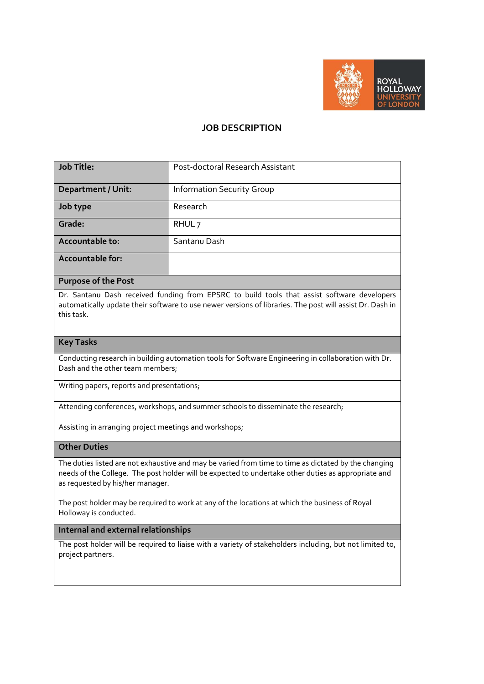

## **JOB DESCRIPTION**

| <b>Job Title:</b>         | Post-doctoral Research Assistant  |  |  |
|---------------------------|-----------------------------------|--|--|
| <b>Department / Unit:</b> | <b>Information Security Group</b> |  |  |
| Job type                  | Research                          |  |  |
| Grade:                    | RHUL <sub>7</sub>                 |  |  |
| Accountable to:           | Santanu Dash                      |  |  |
| Accountable for:          |                                   |  |  |

## **Purpose of the Post**

Dr. Santanu Dash received funding from EPSRC to build tools that assist software developers automatically update their software to use newer versions of libraries. The post will assist Dr. Dash in this task.

#### **Key Tasks**

Conducting research in building automation tools for Software Engineering in collaboration with Dr. Dash and the other team members;

Writing papers, reports and presentations;

Attending conferences, workshops, and summer schools to disseminate the research;

Assisting in arranging project meetings and workshops;

### **Other Duties**

The duties listed are not exhaustive and may be varied from time to time as dictated by the changing needs of the College. The post holder will be expected to undertake other duties as appropriate and as requested by his/her manager.

The post holder may be required to work at any of the locations at which the business of Royal Holloway is conducted.

### **Internal and external relationships**

The post holder will be required to liaise with a variety of stakeholders including, but not limited to, project partners.